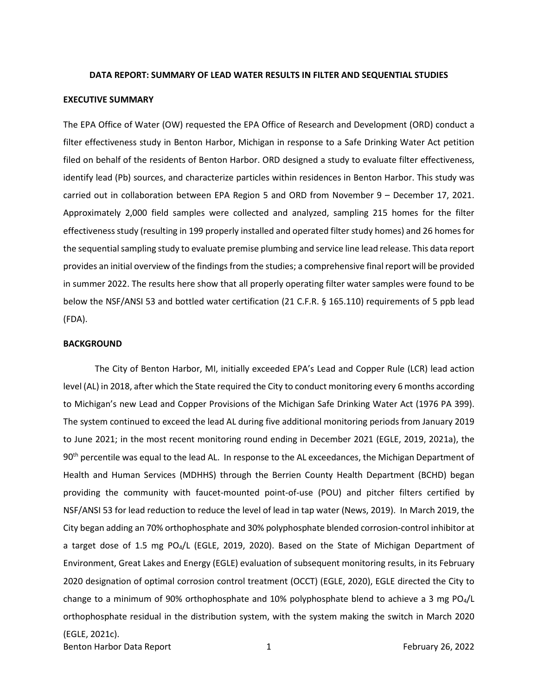#### <span id="page-0-0"></span>**DATA REPORT: SUMMARY OF LEAD WATER RESULTS IN FILTER AND SEQUENTIAL STUDIES**

#### **EXECUTIVE SUMMARY**

 The EPA Office of Water (OW) requested the EPA Office of Research and Development (ORD) conduct a filed on behalf of the residents of Benton Harbor. ORD designed a study to evaluate filter effectiveness, identify lead (Pb) sources, and characterize particles within residences in Benton Harbor. This study was carried out in collaboration between EPA Region 5 and ORD from November 9 – December 17, 2021. effectiveness study (resulting in 199 properly installed and operated filter study homes) and 26 homes for below the NSF/ANSI 53 and bottled water certification (21 C.F.R. § 165.110) requirements of 5 ppb lead filter effectiveness study in Benton Harbor, Michigan in response to a Safe Drinking Water Act petition Approximately 2,000 field samples were collected and analyzed, sampling 215 homes for the filter the sequential sampling study to evaluate premise plumbing and service line lead release. This data report provides an initial overview of the findings from the studies; a comprehensive final report will be provided in summer 2022. The results here show that all properly operating filter water samples were found to be (FDA).

#### **BACKGROUND**

 The City of Benton Harbor, MI, initially exceeded EPA's Lead and Copper Rule (LCR) lead action to Michigan's new Lead and Copper Provisions of the Michigan Safe Drinking Water Act (1976 PA 399). to June 2021; in the most recent monitoring round ending in December 2021 (EGLE, 2019, 2021a), the 90<sup>th</sup> percentile was equal to the lead AL. In response to the AL exceedances, the Michigan Department of NSF/ANSI 53 for lead reduction to reduce the level of lead in tap water (News, 2019). In March 2019, the City began adding an 70% orthophosphate and 30% polyphosphate blended corrosion-control inhibitor at a target dose of 1.5 mg PO<sub>4</sub>/L (EGLE, 2019, 2020). Based on the State of Michigan Department of Environment, Great Lakes and Energy (EGLE) evaluation of subsequent monitoring results, in its February 2020 designation of optimal corrosion control treatment (OCCT) (EGLE, 2020), EGLE directed the City to change to a minimum of 90% orthophosphate and 10% polyphosphate blend to achieve a 3 mg PO $_4$ /L orthophosphate residual in the distribution system, with the system making the switch in March 2020 level (AL) in 2018, after which the State required the City to conduct monitoring every 6 months according The system continued to exceed the lead AL during five additional monitoring periods from January 2019 Health and Human Services (MDHHS) through the Berrien County Health Department (BCHD) began providing the community with faucet-mounted point-of-use (POU) and pitcher filters certified by (EGLE, 2021c).

Benton Harbor Data Report 1 and 1 and 1 February 26, 2022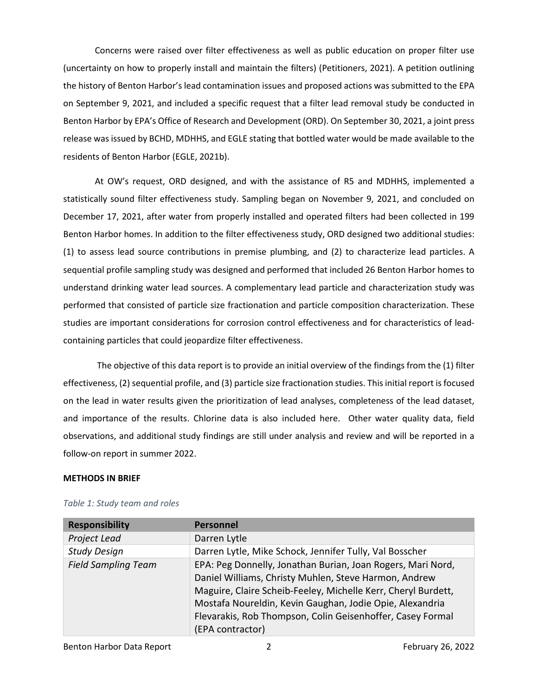Concerns were raised over filter effectiveness as well as public education on proper filter use the history of Benton Harbor's lead contamination issues and proposed actions was submitted to the EPA on September 9, 2021, and included a specific request that a filter lead removal study be conducted in release was issued by BCHD, MDHHS, and EGLE stating that bottled water would be made available to the (uncertainty on how to properly install and maintain the filters) (Petitioners, 2021). A petition outlining Benton Harbor by EPA's Office of Research and Development (ORD). On September 30, 2021, a joint press residents of Benton Harbor (EGLE, 2021b).

 At OW's request, ORD designed, and with the assistance of R5 and MDHHS, implemented a December 17, 2021, after water from properly installed and operated filters had been collected in 199 (1) to assess lead source contributions in premise plumbing, and (2) to characterize lead particles. A understand drinking water lead sources. A complementary lead particle and characterization study was containing particles that could jeopardize filter effectiveness. statistically sound filter effectiveness study. Sampling began on November 9, 2021, and concluded on Benton Harbor homes. In addition to the filter effectiveness study, ORD designed two additional studies: sequential profile sampling study was designed and performed that included 26 Benton Harbor homes to performed that consisted of particle size fractionation and particle composition characterization. These studies are important considerations for corrosion control effectiveness and for characteristics of lead-

containing particles that could jeopardize filter effectiveness.<br>The objective of this data report is to provide an initial overview of the findings from the (1) filter and importance of the results. Chlorine data is also included here. Other water quality data, field follow-on report in summer 2022. effectiveness, (2) sequential profile, and (3) particle size fractionation studies. This initial report is focused on the lead in water results given the prioritization of lead analyses, completeness of the lead dataset, observations, and additional study findings are still under analysis and review and will be reported in a

## **METHODS IN BRIEF**

| <b>Responsibility</b>      | <b>Personnel</b>                                                                                                                                                                                                                                                                                                                    |
|----------------------------|-------------------------------------------------------------------------------------------------------------------------------------------------------------------------------------------------------------------------------------------------------------------------------------------------------------------------------------|
| Project Lead               | Darren Lytle                                                                                                                                                                                                                                                                                                                        |
| <b>Study Design</b>        | Darren Lytle, Mike Schock, Jennifer Tully, Val Bosscher                                                                                                                                                                                                                                                                             |
| <b>Field Sampling Team</b> | EPA: Peg Donnelly, Jonathan Burian, Joan Rogers, Mari Nord,<br>Daniel Williams, Christy Muhlen, Steve Harmon, Andrew<br>Maguire, Claire Scheib-Feeley, Michelle Kerr, Cheryl Burdett,<br>Mostafa Noureldin, Kevin Gaughan, Jodie Opie, Alexandria<br>Flevarakis, Rob Thompson, Colin Geisenhoffer, Casey Formal<br>(EPA contractor) |

## *Table 1: Study team and roles*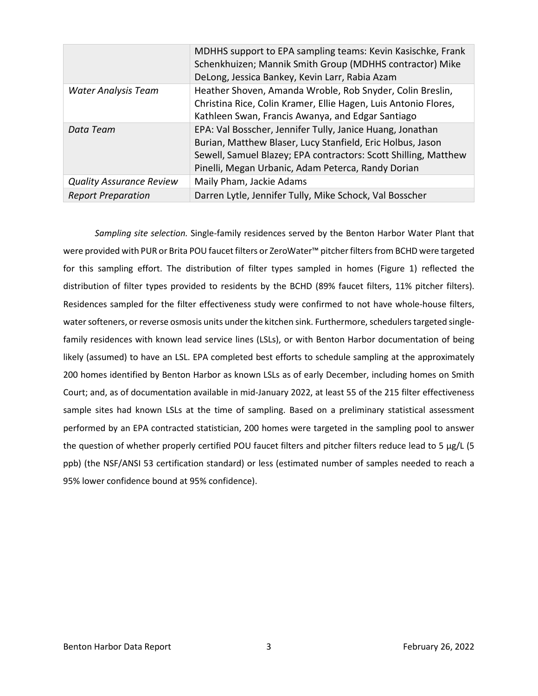|                                 | MDHHS support to EPA sampling teams: Kevin Kasischke, Frank<br>Schenkhuizen; Mannik Smith Group (MDHHS contractor) Mike<br>DeLong, Jessica Bankey, Kevin Larr, Rabia Azam                                                                        |
|---------------------------------|--------------------------------------------------------------------------------------------------------------------------------------------------------------------------------------------------------------------------------------------------|
| Water Analysis Team             | Heather Shoven, Amanda Wroble, Rob Snyder, Colin Breslin,<br>Christina Rice, Colin Kramer, Ellie Hagen, Luis Antonio Flores,<br>Kathleen Swan, Francis Awanya, and Edgar Santiago                                                                |
| Data Team                       | EPA: Val Bosscher, Jennifer Tully, Janice Huang, Jonathan<br>Burian, Matthew Blaser, Lucy Stanfield, Eric Holbus, Jason<br>Sewell, Samuel Blazey; EPA contractors: Scott Shilling, Matthew<br>Pinelli, Megan Urbanic, Adam Peterca, Randy Dorian |
| <b>Quality Assurance Review</b> | Maily Pham, Jackie Adams                                                                                                                                                                                                                         |
| <b>Report Preparation</b>       | Darren Lytle, Jennifer Tully, Mike Schock, Val Bosscher                                                                                                                                                                                          |

 were provided with PUR or Brita POU faucet filters or ZeroWater™ pitcher filters from BCHD were targeted for this sampling effort. The distribution of filter types sampled in homes (Figure 1) reflected the water softeners, or reverse osmosis units under the kitchen sink. Furthermore, schedulers targeted single- family residences with known lead service lines (LSLs), or with Benton Harbor documentation of being likely (assumed) to have an LSL. EPA completed best efforts to schedule sampling at the approximately 200 homes identified by Benton Harbor as known LSLs as of early December, including homes on Smith Court; and, as of documentation available in mid-January 2022, at least 55 of the 215 filter effectiveness sample sites had known LSLs at the time of sampling. Based on a preliminary statistical assessment the question of whether properly certified POU faucet filters and pitcher filters reduce lead to 5 µg/L (5 ppb) (the NSF/ANSI 53 certification standard) or less (estimated number of samples needed to reach a *Sampling site selection.* Single-family residences served by the Benton Harbor Water Plant that distribution of filter types provided to residents by the BCHD (89% faucet filters, 11% pitcher filters). Residences sampled for the filter effectiveness study were confirmed to not have whole-house filters, performed by an EPA contracted statistician, 200 homes were targeted in the sampling pool to answer 95% lower confidence bound at 95% confidence).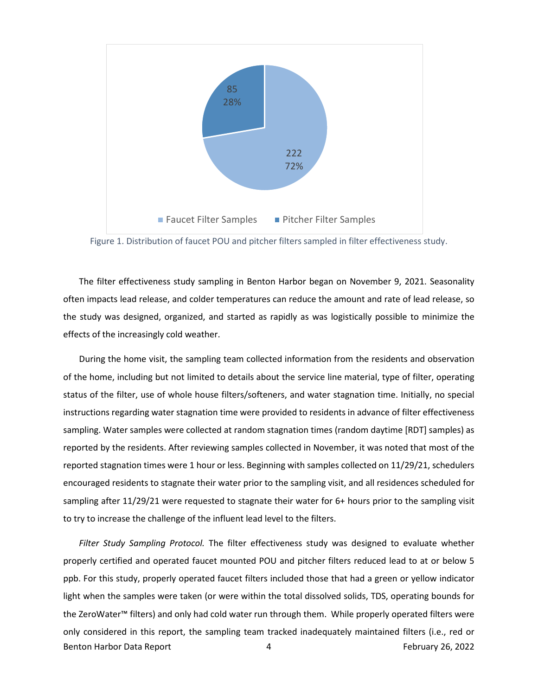<span id="page-3-0"></span>

Figure 1. Distribution of faucet POU and pitcher filters sampled in filter effectiveness study.

 often impacts lead release, and colder temperatures can reduce the amount and rate of lead release, so The filter effectiveness study sampling in Benton Harbor began on November 9, 2021. Seasonality the study was designed, organized, and started as rapidly as was logistically possible to minimize the effects of the increasingly cold weather.

 During the home visit, the sampling team collected information from the residents and observation of the home, including but not limited to details about the service line material, type of filter, operating instructions regarding water stagnation time were provided to residents in advance of filter effectiveness sampling. Water samples were collected at random stagnation times (random daytime [RDT] samples) as reported by the residents. After reviewing samples collected in November, it was noted that most of the reported stagnation times were 1 hour or less. Beginning with samples collected on 11/29/21, schedulers sampling after 11/29/21 were requested to stagnate their water for 6+ hours prior to the sampling visit to try to increase the challenge of the influent lead level to the filters. status of the filter, use of whole house filters/softeners, and water stagnation time. Initially, no special encouraged residents to stagnate their water prior to the sampling visit, and all residences scheduled for

 properly certified and operated faucet mounted POU and pitcher filters reduced lead to at or below 5 the ZeroWater™ filters) and only had cold water run through them. While properly operated filters were *Filter Study Sampling Protocol.* The filter effectiveness study was designed to evaluate whether ppb. For this study, properly operated faucet filters included those that had a green or yellow indicator light when the samples were taken (or were within the total dissolved solids, TDS, operating bounds for only considered in this report, the sampling team tracked inadequately maintained filters (i.e., red or Benton Harbor Data Report 1988 1998 120 MHz (1998) 4 February 26, 2022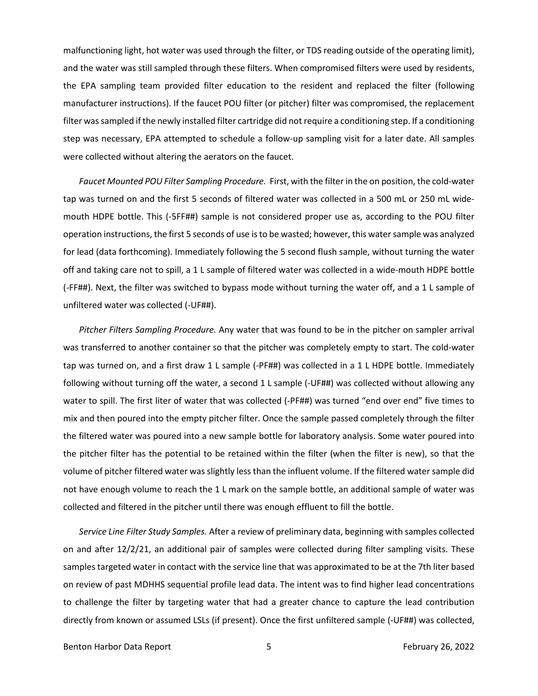malfunctioning light, hot water was used through the filter, or TDS reading outside of the operating limit), and the water was still sampled through these filters. When compromised filters were used by residents, the EPA sampling team provided filter education to the resident and replaced the filter (following filter was sampled if the newly installed filter cartridge did not require a conditioning step. If a conditioning manufacturer instructions). If the faucet POU filter (or pitcher) filter was compromised, the replacement step was necessary, EPA attempted to schedule a follow-up sampling visit for a later date. All samples were collected without altering the aerators on the faucet.

 *Faucet Mounted POU Filter Sampling Procedure.* First, with the filter in the on position, the cold-water tap was turned on and the first 5 seconds of filtered water was collected in a 500 mL or 250 mL wide- for lead (data forthcoming). Immediately following the 5 second flush sample, without turning the water (-FF##). Next, the filter was switched to bypass mode without turning the water off, and a 1 L sample of mouth HDPE bottle. This (-5FF##) sample is not considered proper use as, according to the POU filter operation instructions, the first 5 seconds of use is to be wasted; however, this water sample was analyzed off and taking care not to spill, a 1 L sample of filtered water was collected in a wide-mouth HDPE bottle unfiltered water was collected (-UF##).

 was transferred to another container so that the pitcher was completely empty to start. The cold-water tap was turned on, and a first draw 1 L sample (-PF##) was collected in a 1 L HDPE bottle. Immediately following without turning off the water, a second 1 L sample (-UF##) was collected without allowing any water to spill. The first liter of water that was collected (-PF##) was turned "end over end" five times to mix and then poured into the empty pitcher filter. Once the sample passed completely through the filter not have enough volume to reach the 1 L mark on the sample bottle, an additional sample of water was collected and filtered in the pitcher until there was enough effluent to fill the bottle. *Pitcher Filters Sampling Procedure.* Any water that was found to be in the pitcher on sampler arrival the filtered water was poured into a new sample bottle for laboratory analysis. Some water poured into the pitcher filter has the potential to be retained within the filter (when the filter is new), so that the volume of pitcher filtered water was slightly less than the influent volume. If the filtered water sample did

 *Service Line Filter Study Samples.* After a review of preliminary data, beginning with samples collected samples targeted water in contact with the service line that was approximated to be at the 7th liter based on review of past MDHHS sequential profile lead data. The intent was to find higher lead concentrations directly from known or assumed LSLs (if present). Once the first unfiltered sample (-UF##) was collected, on and after 12/2/21, an additional pair of samples were collected during filter sampling visits. These to challenge the filter by targeting water that had a greater chance to capture the lead contribution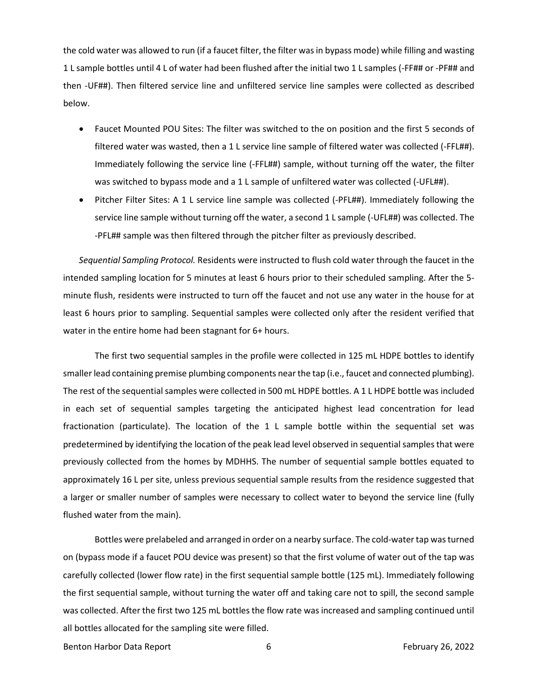<span id="page-5-0"></span> the cold water was allowed to run (if a faucet filter, the filter was in bypass mode) while filling and wasting 1 L sample bottles until 4 L of water had been flushed after the initial two 1 L samples (-FF## or -PF## and then -UF##). Then filtered service line and unfiltered service line samples were collected as described below.

- • Faucet Mounted POU Sites: The filter was switched to the on position and the first 5 seconds of filtered water was wasted, then a 1 L service line sample of filtered water was collected (-FFL##). Immediately following the service line (-FFL##) sample, without turning off the water, the filter was switched to bypass mode and a 1 L sample of unfiltered water was collected (-UFL##).
- • Pitcher Filter Sites: A 1 L service line sample was collected (-PFL##). Immediately following the -PFL## sample was then filtered through the pitcher filter as previously described. service line sample without turning off the water, a second 1 L sample (-UFL##) was collected. The

 *Sequential Sampling Protocol.* Residents were instructed to flush cold water through the faucet in the water in the entire home had been stagnant for 6+ hours. intended sampling location for 5 minutes at least 6 hours prior to their scheduled sampling. After the 5 minute flush, residents were instructed to turn off the faucet and not use any water in the house for at least 6 hours prior to sampling. Sequential samples were collected only after the resident verified that

 The first two sequential samples in the profile were collected in 125 mL HDPE bottles to identify The rest of the sequential samples were collected in 500 mL HDPE bottles. A 1 L HDPE bottle was included in each set of sequential samples targeting the anticipated highest lead concentration for lead predetermined by identifying the location of the peak lead level observed in sequential samples that were flushed water from the main). smaller lead containing premise plumbing components near the tap (i.e., faucet and connected plumbing). fractionation (particulate). The location of the 1 L sample bottle within the sequential set was previously collected from the homes by MDHHS. The number of sequential sample bottles equated to approximately 16 L per site, unless previous sequential sample results from the residence suggested that a larger or smaller number of samples were necessary to collect water to beyond the service line (fully

 was collected. After the first two 125 mL bottles the flow rate was increased and sampling continued until Bottles were prelabeled and arranged in order on a nearby surface. The cold-water tap was turned on (bypass mode if a faucet POU device was present) so that the first volume of water out of the tap was carefully collected (lower flow rate) in the first sequential sample bottle (125 mL). Immediately following the first sequential sample, without turning the water off and taking care not to spill, the second sample all bottles allocated for the sampling site were filled.

Benton Harbor Data Report 6 6 February 26, 2022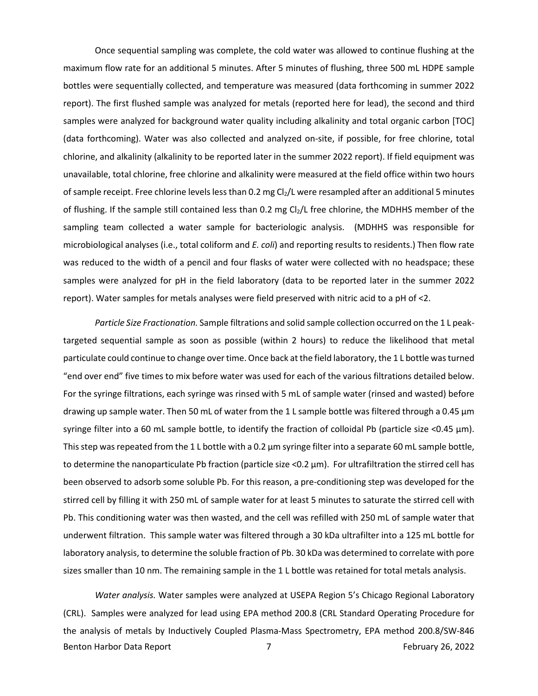Once sequential sampling was complete, the cold water was allowed to continue flushing at the maximum flow rate for an additional 5 minutes. After 5 minutes of flushing, three 500 mL HDPE sample report). The first flushed sample was analyzed for metals (reported here for lead), the second and third of sample receipt. Free chlorine levels less than 0.2 mg Cl<sub>2</sub>/L were resampled after an additional 5 minutes of flushing. If the sample still contained less than 0.2 mg Cl<sub>2</sub>/L free chlorine, the MDHHS member of the microbiological analyses (i.e., total coliform and *E. coli*) and reporting results to residents.) Then flow rate was reduced to the width of a pencil and four flasks of water were collected with no headspace; these report). Water samples for metals analyses were field preserved with nitric acid to a pH of <2. bottles were sequentially collected, and temperature was measured (data forthcoming in summer 2022 samples were analyzed for background water quality including alkalinity and total organic carbon [TOC] (data forthcoming). Water was also collected and analyzed on-site, if possible, for free chlorine, total chlorine, and alkalinity (alkalinity to be reported later in the summer 2022 report). If field equipment was unavailable, total chlorine, free chlorine and alkalinity were measured at the field office within two hours sampling team collected a water sample for bacteriologic analysis. (MDHHS was responsible for samples were analyzed for pH in the field laboratory (data to be reported later in the summer 2022

 *Particle Size Fractionation.* Sample filtrations and solid sample collection occurred on the 1 L peak- targeted sequential sample as soon as possible (within 2 hours) to reduce the likelihood that metal particulate could continue to change over time. Once back at the field laboratory, the 1 L bottle was turned For the syringe filtrations, each syringe was rinsed with 5 mL of sample water (rinsed and wasted) before drawing up sample water. Then 50 mL of water from the 1 L sample bottle was filtered through a 0.45 µm This step was repeated from the 1 L bottle with a 0.2 µm syringe filter into a separate 60 mL sample bottle, to determine the nanoparticulate Pb fraction (particle size <0.2 µm). For ultrafiltration the stirred cell has Pb. This conditioning water was then wasted, and the cell was refilled with 250 mL of sample water that sizes smaller than 10 nm. The remaining sample in the 1 L bottle was retained for total metals analysis. "end over end" five times to mix before water was used for each of the various filtrations detailed below. syringe filter into a 60 mL sample bottle, to identify the fraction of colloidal Pb (particle size <0.45 µm). been observed to adsorb some soluble Pb. For this reason, a pre-conditioning step was developed for the stirred cell by filling it with 250 mL of sample water for at least 5 minutes to saturate the stirred cell with underwent filtration. This sample water was filtered through a 30 kDa ultrafilter into a 125 mL bottle for laboratory analysis, to determine the soluble fraction of Pb. 30 kDa was determined to correlate with pore

 (CRL). Samples were analyzed for lead using EPA method 200.8 (CRL Standard Operating Procedure for the analysis of metals by Inductively Coupled Plasma-Mass Spectrometry, EPA method 200.8/SW-846 *Water analysis.* Water samples were analyzed at USEPA Region 5's Chicago Regional Laboratory Benton Harbor Data Report **7** The Report of the Report of the Report of the Report of the Report of the Report of the Report of the Report of the Report of the Report of the Report of the Report of the Report of the Report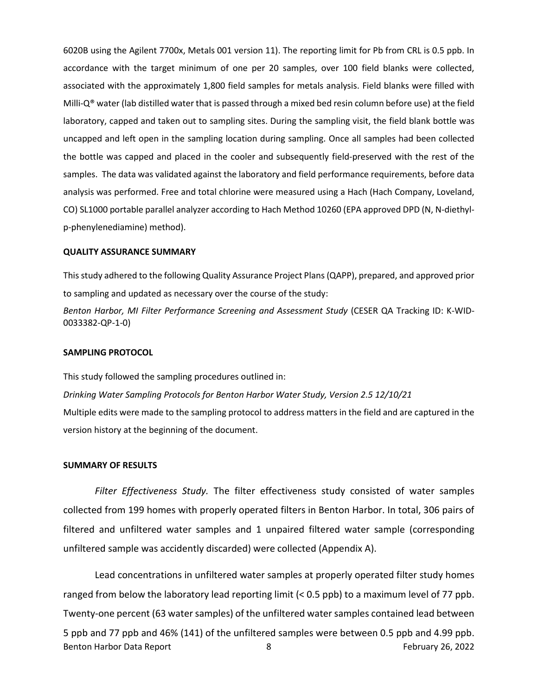<span id="page-7-0"></span> 6020B using the Agilent 7700x, Metals 001 version 11). The reporting limit for Pb from CRL is 0.5 ppb. In accordance with the target minimum of one per 20 samples, over 100 field blanks were collected, associated with the approximately 1,800 field samples for metals analysis. Field blanks were filled with Milli-Q® water (lab distilled water that is passed through a mixed bed resin column before use) at the field laboratory, capped and taken out to sampling sites. During the sampling visit, the field blank bottle was samples. The data was validated against the laboratory and field performance requirements, before data CO) SL1000 portable parallel analyzer according to Hach Method 10260 (EPA approved DPD (N, N-diethyluncapped and left open in the sampling location during sampling. Once all samples had been collected the bottle was capped and placed in the cooler and subsequently field-preserved with the rest of the analysis was performed. Free and total chlorine were measured using a Hach (Hach Company, Loveland, p-phenylenediamine) method).

## **QUALITY ASSURANCE SUMMARY**

 This study adhered to the following Quality Assurance Project Plans (QAPP), prepared, and approved prior to sampling and updated as necessary over the course of the study:

*Benton Harbor, MI Filter Performance Screening and Assessment Study* (CESER QA Tracking ID: K-WID-0033382-QP-1-0)

### **SAMPLING PROTOCOL**

 *Drinking Water Sampling Protocols for Benton Harbor Water Study, Version 2.5 12/10/21*  Multiple edits were made to the sampling protocol to address matters in the field and are captured in the This study followed the sampling procedures outlined in: version history at the beginning of the document.

#### **SUMMARY OF RESULTS**

 collected from 199 homes with properly operated filters in Benton Harbor. In total, 306 pairs of *Filter Effectiveness Study.* The filter effectiveness study consisted of water samples filtered and unfiltered water samples and 1 unpaired filtered water sample (corresponding unfiltered sample was accidently discarded) were collected (Appendix A).

 Lead concentrations in unfiltered water samples at properly operated filter study homes ranged from below the laboratory lead reporting limit (< 0.5 ppb) to a maximum level of 77 ppb. Twenty-one percent (63 water samples) of the unfiltered water samples contained lead between 5 ppb and 77 ppb and 46% (141) of the unfiltered samples were between 0.5 ppb and 4.99 ppb. Benton Harbor Data Report 1988 8 1992 8 February 26, 2022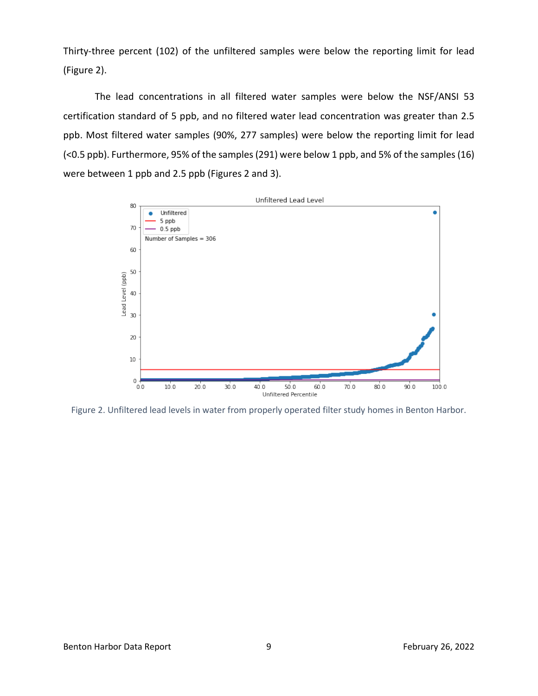Thirty-three percent (102) of the unfiltered samples were below the reporting limit for lead (Figure 2).

 (Figure 2). The lead concentrations in all filtered water samples were below the NSF/ANSI 53 certification standard of 5 ppb, and no filtered water lead concentration was greater than 2.5 ppb. Most filtered water samples (90%, 277 samples) were below the reporting limit for lead (<0.5 ppb). Furthermore, 95% of the samples (291) were below 1 ppb, and 5% of the samples (16) were between 1 ppb and 2.5 ppb (Figures 2 and 3).



Figure 2. Unfiltered lead levels in water from properly operated filter study homes in Benton Harbor.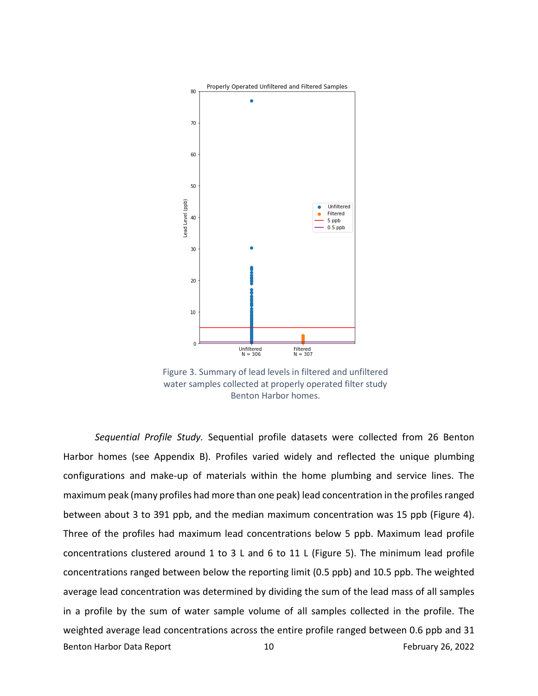

Figure 3. Summary of lead levels in filtered and unfiltered water samples collected at properly operated filter study Benton Harbor homes.

 *Sequential Profile Study.* Sequential profile datasets were collected from 26 Benton configurations and make-up of materials within the home plumbing and service lines. The maximum peak (many profiles had more than one peak) lead concentration in the profiles ranged between about 3 to 391 ppb, and the median maximum concentration was 15 ppb (Figure 4). Three of the profiles had maximum lead concentrations below 5 ppb. Maximum lead profile concentrations clustered around 1 to 3 L and 6 to 11 L (Figure 5). The minimum lead profile concentrations ranged between below the reporting limit (0.5 ppb) and 10.5 ppb. The weighted Harbor homes (see Appendix B). Profiles varied widely and reflected the unique plumbing average lead concentration was determined by dividing the sum of the lead mass of all samples in a profile by the sum of water sample volume of all samples collected in the profile. The weighted average lead concentrations across the entire profile ranged between 0.6 ppb and 31 Benton Harbor Data Report 10 10 February 26, 2022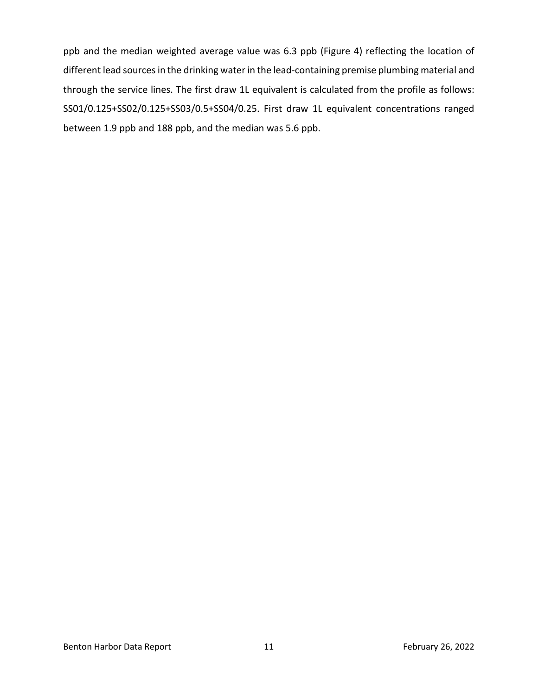different lead sources in the drinking water in the lead-containing premise plumbing material and through the service lines. The first draw 1L equivalent is calculated from the profile as follows: [SS01/0.125+SS02/0.125+SS03/0.5+SS04/0.25.](https://SS01/0.125+SS02/0.125+SS03/0.5+SS04/0.25) First draw 1L equivalent concentrations ranged between 1.9 ppb and 188 ppb, and the median was 5.6 ppb. ppb and the median weighted average value was 6.3 ppb (Figure 4) reflecting the location of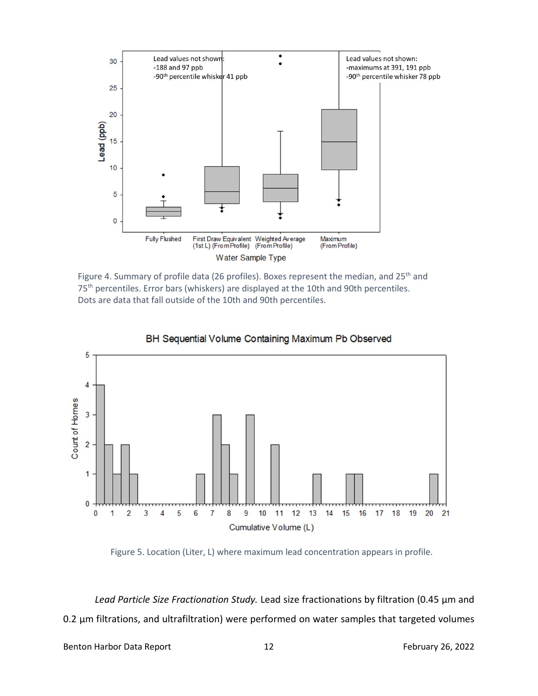

Figure 4. Summary of profile data (26 profiles). Boxes represent the median, and 25<sup>th</sup> and 75<sup>th</sup> percentiles. Error bars (whiskers) are displayed at the 10th and 90th percentiles. Dots are data that fall outside of the 10th and 90th percentiles.



BH Sequential Volume Containing Maximum Pb Observed

Figure 5. Location (Liter, L) where maximum lead concentration appears in profile.

 *Lead Particle Size Fractionation Study.* Lead size fractionations by filtration (0.45 µm and 0.2 µm filtrations, and ultrafiltration) were performed on water samples that targeted volumes

Benton Harbor Data Report 12 12 February 26, 2022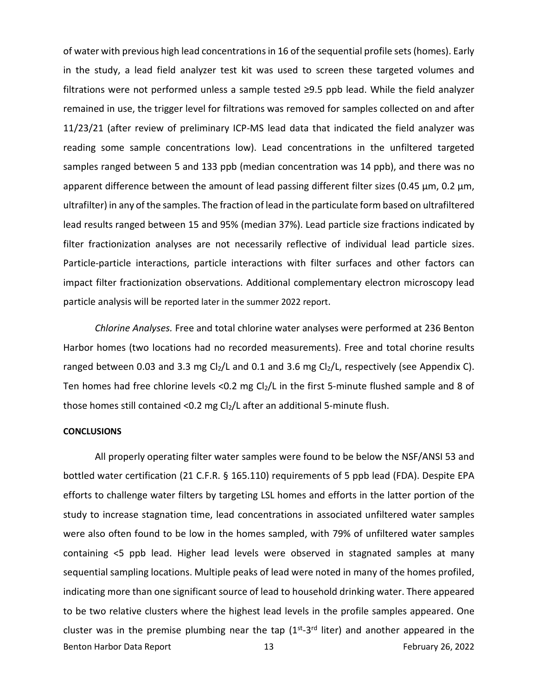of water with previous high lead concentrations in 16 of the sequential profile sets (homes). Early in the study, a lead field analyzer test kit was used to screen these targeted volumes and remained in use, the trigger level for filtrations was removed for samples collected on and after 11/23/21 (after review of preliminary ICP-MS lead data that indicated the field analyzer was samples ranged between 5 and 133 ppb (median concentration was 14 ppb), and there was no ultrafilter) in any of the samples. The fraction of lead in the particulate form based on ultrafiltered lead results ranged between 15 and 95% (median 37%). Lead particle size fractions indicated by Particle-particle interactions, particle interactions with filter surfaces and other factors can particle analysis will be reported later in the summer 2022 report. filtrations were not performed unless a sample tested ≥9.5 ppb lead. While the field analyzer reading some sample concentrations low). Lead concentrations in the unfiltered targeted apparent difference between the amount of lead passing different filter sizes (0.45  $\mu$ m, 0.2  $\mu$ m, filter fractionization analyses are not necessarily reflective of individual lead particle sizes. impact filter fractionization observations. Additional complementary electron microscopy lead

 *Chlorine Analyses.* Free and total chlorine water analyses were performed at 236 Benton ranged between 0.03 and 3.3 mg Cl<sub>2</sub>/L and 0.1 and 3.6 mg Cl<sub>2</sub>/L, respectively (see Appendix C). Ten homes had free chlorine levels <0.2 mg Cl<sub>2</sub>/L in the first 5-minute flushed sample and 8 of those homes still contained <0.2 mg  $Cl_2/L$  after an additional 5-minute flush. Harbor homes (two locations had no recorded measurements). Free and total chorine results

#### **CONCLUSIONS**

 bottled water certification (21 C.F.R. § 165.110) requirements of 5 ppb lead (FDA). Despite EPA efforts to challenge water filters by targeting LSL homes and efforts in the latter portion of the containing <5 ppb lead. Higher lead levels were observed in stagnated samples at many All properly operating filter water samples were found to be below the NSF/ANSI 53 and study to increase stagnation time, lead concentrations in associated unfiltered water samples were also often found to be low in the homes sampled, with 79% of unfiltered water samples sequential sampling locations. Multiple peaks of lead were noted in many of the homes profiled, indicating more than one significant source of lead to household drinking water. There appeared to be two relative clusters where the highest lead levels in the profile samples appeared. One cluster was in the premise plumbing near the tap  $(1^{st}-3^{rd})$  liter) and another appeared in the Benton Harbor Data Report 13 February 26, 2022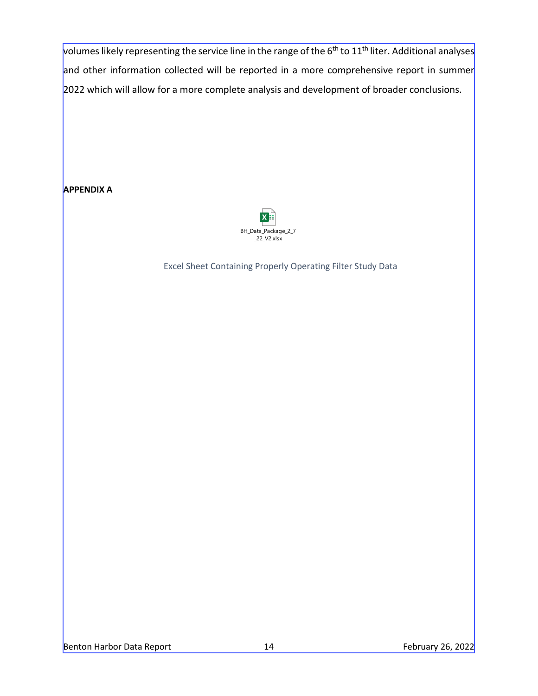volumes likely representing the service line in the range of the 6<sup>th</sup> to 11<sup>th</sup> liter. Additional analyses and other information collected will be reported in a more comprehensive report in summer 2022 which will allow for a more complete analysis and development of broader conclusions.

**APPENDIX A** 



Excel Sheet Containing Properly Operating Filter Study Data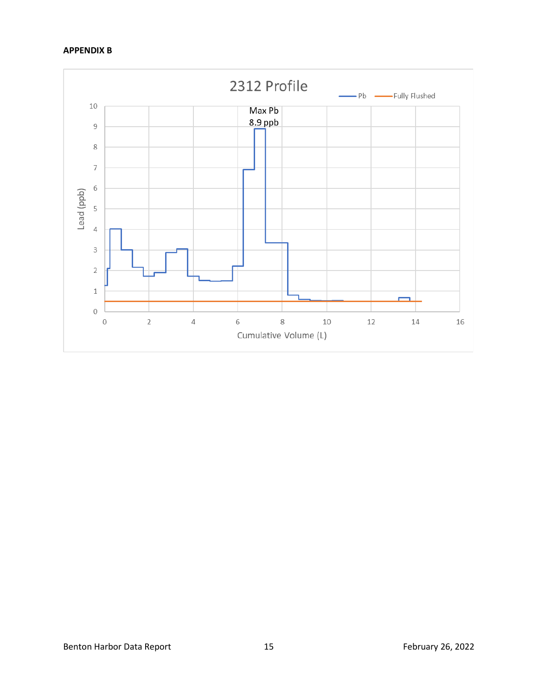# **APPENDIX B**

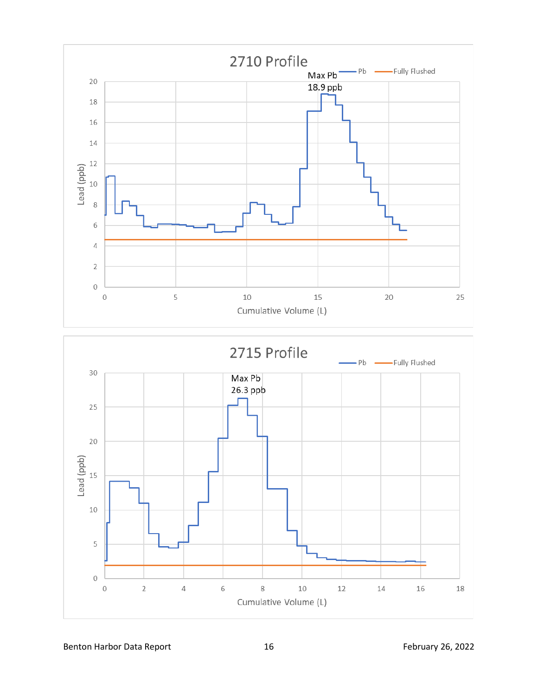



Benton Harbor Data Report 16 16 February 26, 2022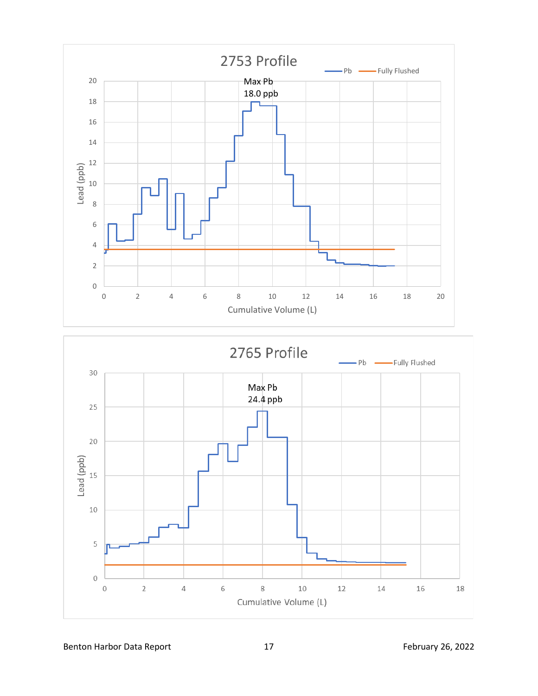



Benton Harbor Data Report 17 17 February 26, 2022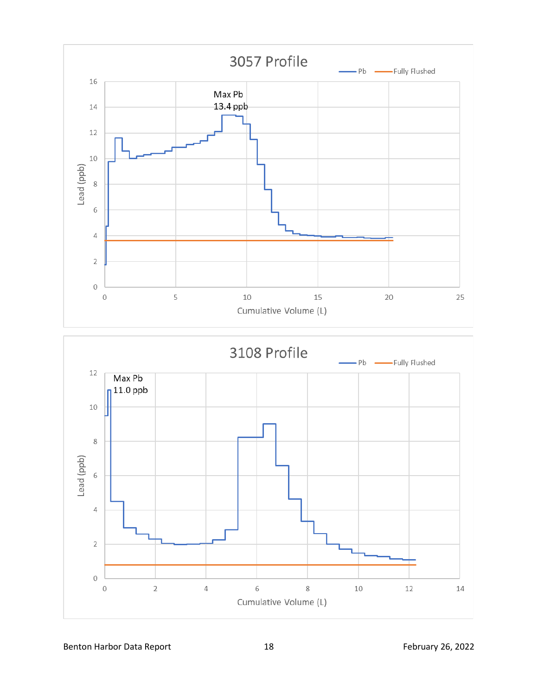



Benton Harbor Data Report 18 18 February 26, 2022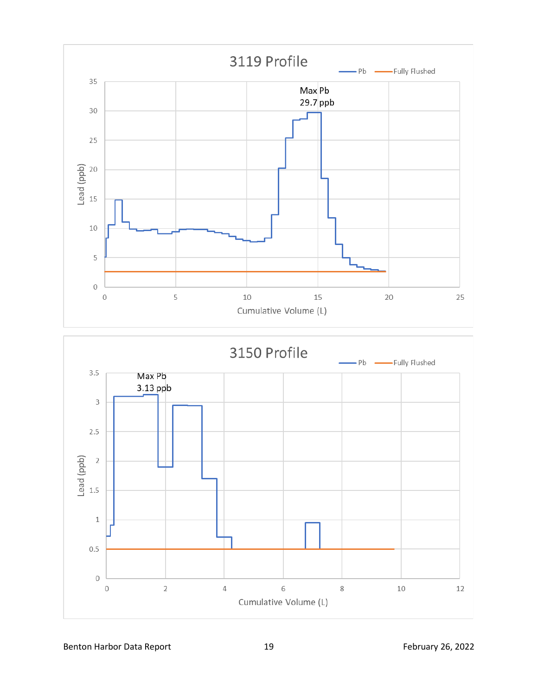



Benton Harbor Data Report 19 19 and 19 February 26, 2022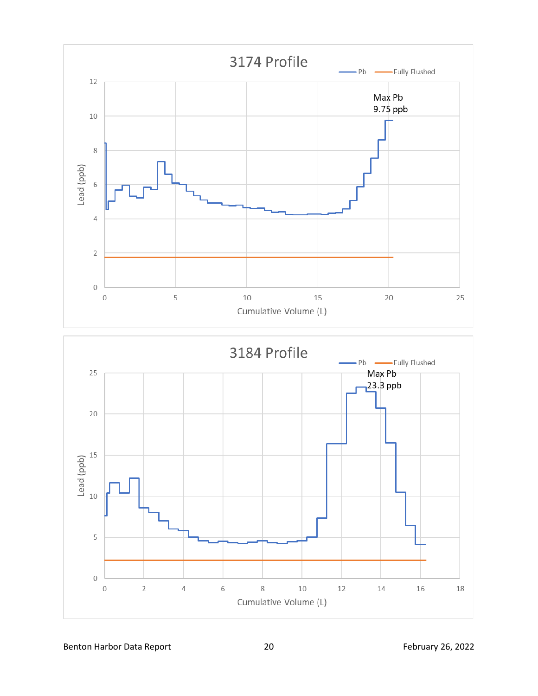



Benton Harbor Data Report 20 20 February 26, 2022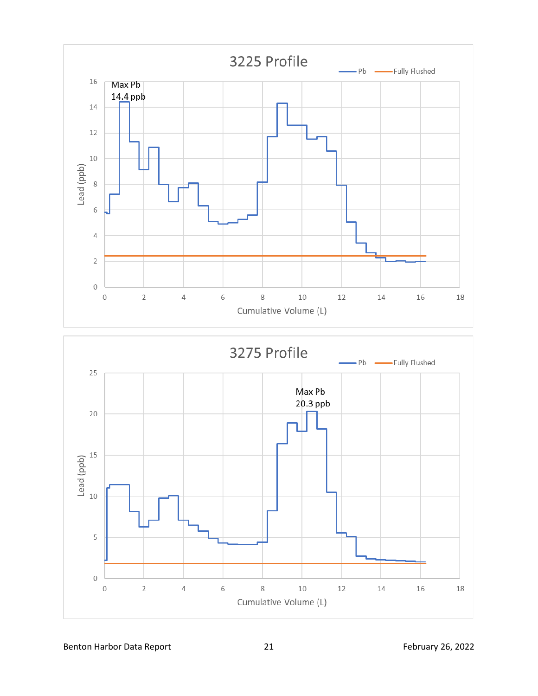



Benton Harbor Data Report 21 21 February 26, 2022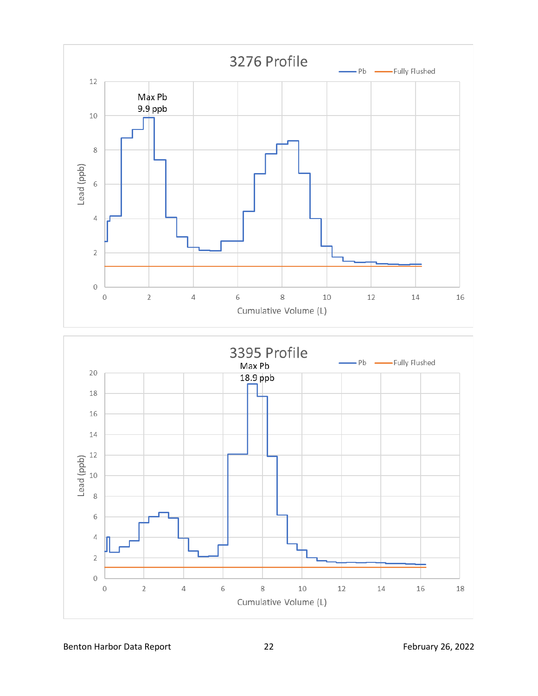

Benton Harbor Data Report 22 The Report 20 Apr 20 22 February 26, 2022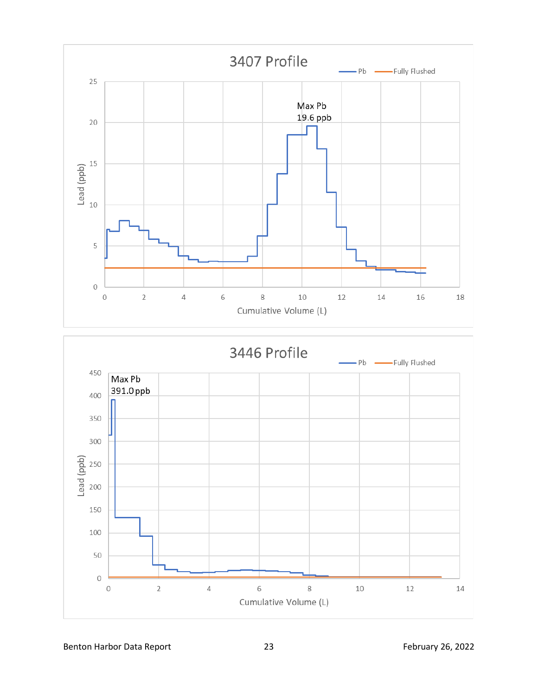



Benton Harbor Data Report 23 23 February 26, 2022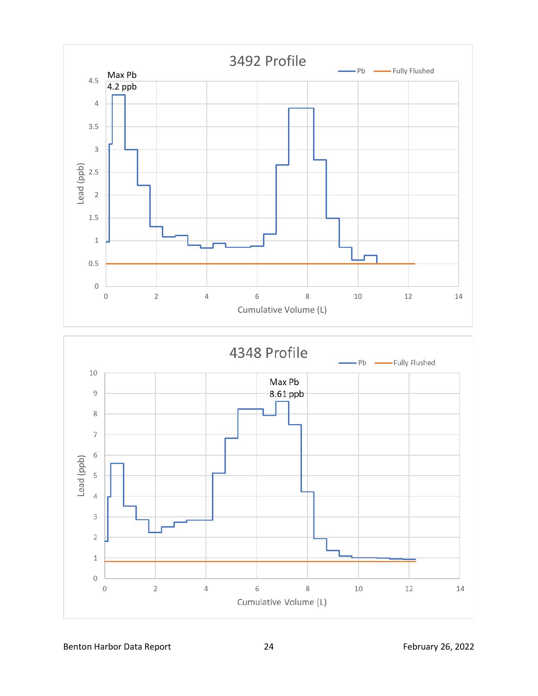

Benton Harbor Data Report 24 24 February 26, 2022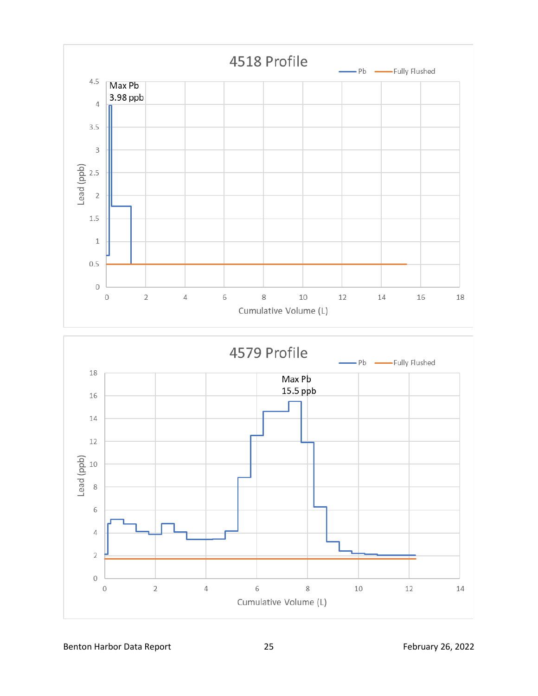

Benton Harbor Data Report 25 2022 25 February 26, 2022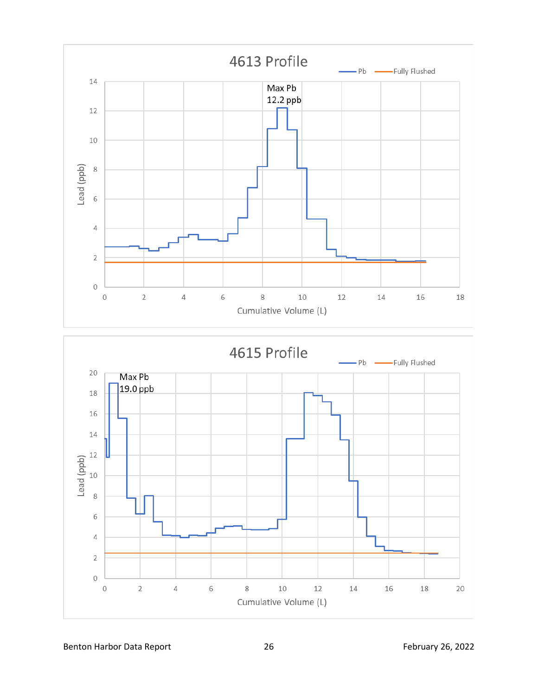



Benton Harbor Data Report 26 2022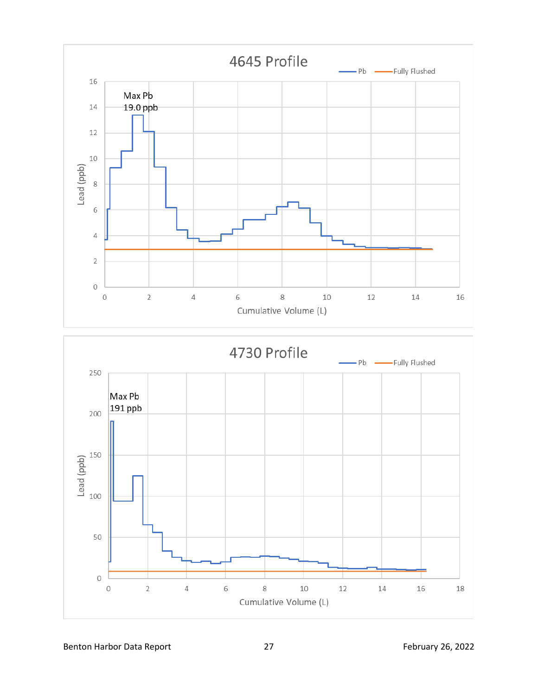



Benton Harbor Data Report 27 27 February 26, 2022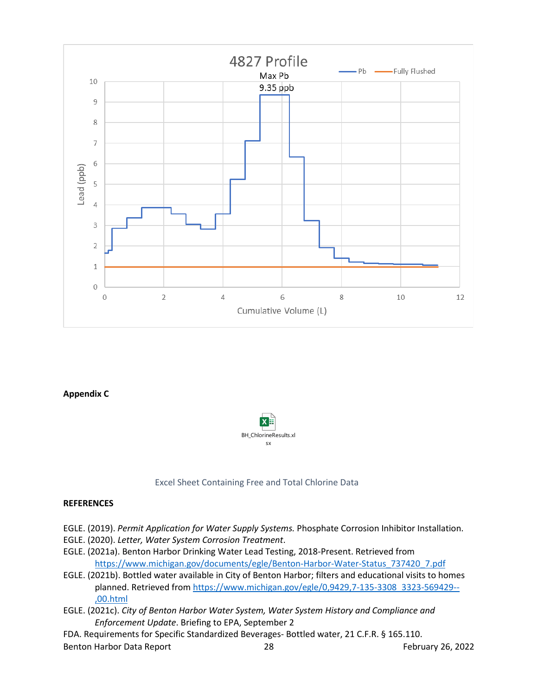

## **Appendix C**



## Excel Sheet Containing Free and Total Chlorine Data

## **REFERENCES**

- EGLE. (2019). *Permit Application for Water Supply Systems.* Phosphate Corrosion Inhibitor Installation.
- EGLE. (2020). *Letter, Water System Corrosion Treatment*.
- EGLE. (2021a). Benton Harbor Drinking Water Lead Testing, 2018-Present. Retrieved from [https://www.michigan.gov/documents/egle/Benton-Harbor-Water-Status\\_737420\\_7.pdf](https://www.michigan.gov/documents/egle/Benton-Harbor-Water-Status_737420_7.pdf)
- EGLE. (2021b). Bottled water available in City of Benton Harbor; filters and educational visits to homes planned. Retrieved fro[m https://www.michigan.gov/egle/0,9429,7-135-3308\\_3323-569429--](https://www.michigan.gov/egle/0,9429,7-135-3308_3323-569429--,00.html) [,00.html](https://www.michigan.gov/egle/0,9429,7-135-3308_3323-569429--,00.html)
- EGLE. (2021c). *City of Benton Harbor Water System, Water System History and Compliance and Enforcement Update*. Briefing to EPA, September 2
- FDA. Requirements for Specific Standardized Beverages- Bottled water, 21 C.F.R. § 165.110.

Benton Harbor Data Report 28 28 February 26, 2022